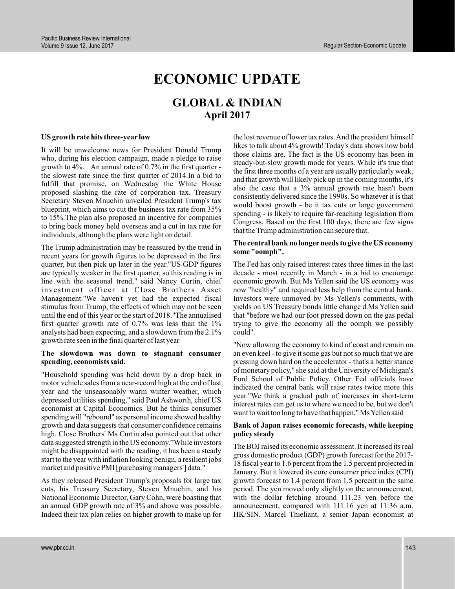# **ECONOMIC UPDATE**

# **GLOBAL & INDIAN April 2017**

#### **US growth rate hits three-year low**

It will be unwelcome news for President Donald Trump who, during his election campaign, made a pledge to raise growth to 4%. An annual rate of 0.7% in the first quarter the slowest rate since the first quarter of 2014.In a bid to fulfill that promise, on Wednesday the White House proposed slashing the rate of corporation tax. Treasury Secretary Steven Mnuchin unveiled President Trump's tax blueprint, which aims to cut the business tax rate from 35% to 15%.The plan also proposed an incentive for companies to bring back money held overseas and a cut in tax rate for individuals, although the plans were light on detail.

The Trump administration may be reassured by the trend in recent years for growth figures to be depressed in the first quarter, but then pick up later in the year."US GDP figures are typically weaker in the first quarter, so this reading is in line with the seasonal trend," said Nancy Curtin, chief investment officer at Close Brothers Asset Management."We haven't yet had the expected fiscal stimulus from Trump, the effects of which may not be seen until the end of this year or the start of 2018."The annualised first quarter growth rate of  $0.7\%$  was less than the  $1\%$ analysts had been expecting, and a slowdown from the 2.1% growth rate seen in the final quarter of last year

#### **The slowdown was down to stagnant consumer spending, economists said.**

"Household spending was held down by a drop back in motor vehicle sales from a near-record high at the end of last year and the unseasonably warm winter weather, which depressed utilities spending," said Paul Ashworth, chief US economist at Capital Economics. But he thinks consumer spending will "rebound" as personal income showed healthy growth and data suggests that consumer confidence remains high. Close Brothers' Ms Curtin also pointed out that other data suggested strength in the US economy."While investors might be disappointed with the reading, it has been a steady start to the year with inflation looking benign, a resilient jobs market and positive PMI [purchasing managers'] data."

As they released President Trump's proposals for large tax cuts, his Treasury Secretary, Steven Mnuchin, and his National Economic Director, Gary Cohn, were boasting that an annual GDP growth rate of 3% and above was possible. Indeed their tax plan relies on higher growth to make up for

the lost revenue of lower tax rates.And the president himself likes to talk about 4% growth! Today's data shows how bold those claims are. The fact is the US economy has been in steady-but-slow growth mode for years. While it's true that the first three months of a year are usually particularly weak, and that growth will likely pick up in the coming months, it's also the case that a 3% annual growth rate hasn't been consistently delivered since the 1990s. So whatever it is that would boost growth - be it tax cuts or large government spending - is likely to require far-reaching legislation from Congress. Based on the first 100 days, there are few signs that the Trump administration can secure that.

#### **The central bank no longer needs to give the US economy some "oomph".**

The Fed has only raised interest rates three times in the last decade - most recently in March - in a bid to encourage economic growth. But Ms Yellen said the US economy was now "healthy" and required less help from the central bank. Investors were unmoved by Ms Yellen's comments, with yields on US Treasury bonds little change d.Ms Yellen said that "before we had our foot pressed down on the gas pedal trying to give the economy all the oomph we possibly could".

"Now allowing the economy to kind of coast and remain on an even keel - to give it some gas but not so much that we are pressing down hard on the accelerator - that's a better stance of monetary policy," she said at the University of Michigan's Ford School of Public Policy. Other Fed officials have indicated the central bank will raise rates twice more this year."We think a gradual path of increases in short-term interest rates can get us to where we need to be, but we don't want to wait too long to have that happen," MsYellen said

# **Bank of Japan raises economic forecasts, while keeping policy steady**

The BOJ raised its economic assessment. It increased its real gross domestic product (GDP) growth forecast for the 2017- 18 fiscal year to 1.6 percent from the 1.5 percent projected in January. But it lowered its core consumer price index (CPI) growth forecast to 1.4 percent from 1.5 percent in the same period. The yen moved only slightly on the announcement, with the dollar fetching around 111.23 yen before the announcement, compared with 111.16 yen at 11:36 a.m. HK/SIN. Marcel Thieliant, a senior Japan economist at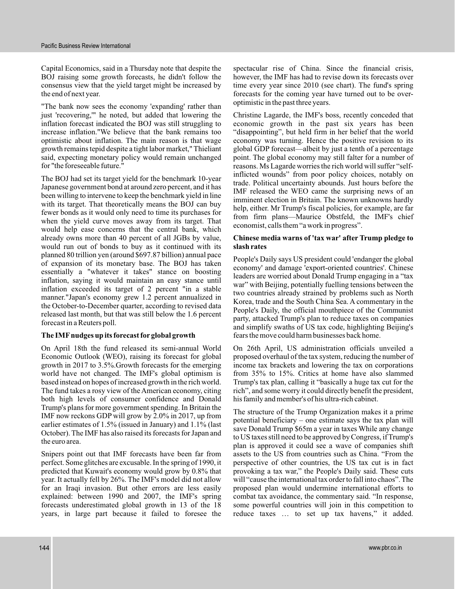Capital Economics, said in a Thursday note that despite the BOJ raising some growth forecasts, he didn't follow the consensus view that the yield target might be increased by the end of next year.

"The bank now sees the economy 'expanding' rather than just 'recovering,'" he noted, but added that lowering the inflation forecast indicated the BOJ was still struggling to increase inflation."We believe that the bank remains too optimistic about inflation. The main reason is that wage growth remains tepid despite a tight labor market," Thieliant said, expecting monetary policy would remain unchanged for "the foreseeable future."

The BOJ had set its target yield for the benchmark 10-year Japanese government bond at around zero percent, and it has been willing to intervene to keep the benchmark yield in line with its target. That theoretically means the BOJ can buy fewer bonds as it would only need to time its purchases for when the yield curve moves away from its target. That would help ease concerns that the central bank, which already owns more than 40 percent of all JGBs by value, would run out of bonds to buy as it continued with its planned 80 trillion yen (around \$697.87 billion) annual pace of expansion of its monetary base. The BOJ has taken essentially a "whatever it takes" stance on boosting inflation, saying it would maintain an easy stance until inflation exceeded its target of 2 percent "in a stable manner."Japan's economy grew 1.2 percent annualized in the October-to-December quarter, according to revised data released last month, but that was still below the 1.6 percent forecast in a Reuters poll.

# **The IMFnudges up its forecast for global growth**

On April 18th the fund released its semi-annual World Economic Outlook (WEO), raising its forecast for global growth in 2017 to 3.5%.Growth forecasts for the emerging world have not changed. The IMF's global optimism is based instead on hopes of increased growth in the rich world. The fund takes a rosy view of the American economy, citing both high levels of consumer confidence and Donald Trump's plans for more government spending. In Britain the IMF now reckons GDP will grow by 2.0% in 2017, up from earlier estimates of 1.5% (issued in January) and 1.1% (last October). The IMF has also raised its forecasts for Japan and the euro area.

Snipers point out that IMF forecasts have been far from perfect. Some glitches are excusable. In the spring of 1990, it predicted that Kuwait's economy would grow by 0.8% that year. It actually fell by 26%. The IMF's model did not allow for an Iraqi invasion. But other errors are less easily explained: between 1990 and 2007, the IMF's spring forecasts underestimated global growth in 13 of the 18 years, in large part because it failed to foresee the

spectacular rise of China. Since the financial crisis, however, the IMF has had to revise down its forecasts over time every year since 2010 (see chart). The fund's spring forecasts for the coming year have turned out to be overoptimistic in the past three years.

Christine Lagarde, the IMF's boss, recently conceded that economic growth in the past six years has been "disappointing", but held firm in her belief that the world economy was turning. Hence the positive revision to its global GDP forecast—albeit by just a tenth of a percentage point. The global economy may still falter for a number of reasons. Ms Lagarde worries the rich world will suffer "selfinflicted wounds" from poor policy choices, notably on trade. Political uncertainty abounds. Just hours before the IMF released the WEO came the surprising news of an imminent election in Britain. The known unknowns hardly help, either. Mr Trump's fiscal policies, for example, are far from firm plans—Maurice Obstfeld, the IMF's chief economist, calls them"a work in progress".

### **Chinese media warns of 'tax war' after Trump pledge to slash rates**

People's Daily says US president could 'endanger the global economy' and damage 'export-oriented countries'. Chinese leaders are worried about Donald Trump engaging in a "tax war" with Beijing, potentially fuelling tensions between the two countries already strained by problems such as North Korea, trade and the South China Sea. A commentary in the People's Daily, the official mouthpiece of the Communist party, attacked Trump's plan to reduce taxes on companies and simplify swaths of US tax code, highlighting Beijing's fears the move could harm businesses back home.

On 26th April, US administration officials unveiled a proposed overhaul of the tax system, reducing the number of income tax brackets and lowering the tax on corporations from 35% to 15%. Critics at home have also slammed Trump's tax plan, calling it "basically a huge tax cut for the rich", and some worry it could directly benefit the president, his family and member's of his ultra-rich cabinet.

The structure of the Trump Organization makes it a prime potential beneficiary – one estimate says the tax plan will save Donald Trump \$65m a year in taxes While any change to US taxes still need to be approved by Congress, if Trump's plan is approved it could see a wave of companies shift assets to the US from countries such as China. "From the perspective of other countries, the US tax cut is in fact provoking a tax war," the People's Daily said. These cuts will "cause the international tax order to fall into chaos". The proposed plan would undermine international efforts to combat tax avoidance, the commentary said. "In response, some powerful countries will join in this competition to reduce taxes … to set up tax havens," it added.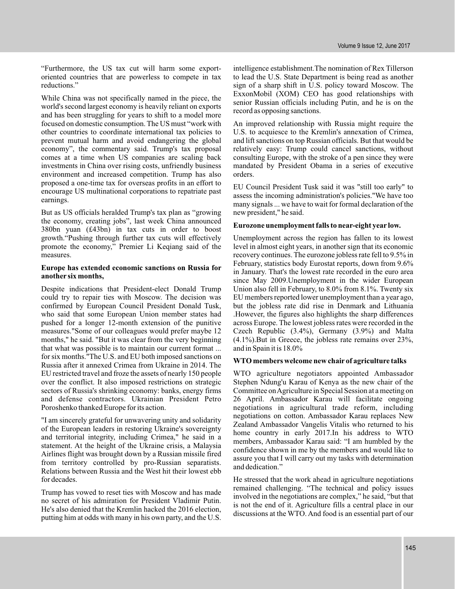"Furthermore, the US tax cut will harm some exportoriented countries that are powerless to compete in tax reductions."

While China was not specifically named in the piece, the world's second largest economy is heavily reliant on exports and has been struggling for years to shift to a model more focused on domestic consumption. The US must "work with other countries to coordinate international tax policies to prevent mutual harm and avoid endangering the global economy", the commentary said. Trump's tax proposal comes at a time when US companies are scaling back investments in China over rising costs, unfriendly business environment and increased competition. Trump has also proposed a one-time tax for overseas profits in an effort to encourage US multinational corporations to repatriate past earnings.

But as US officials heralded Trump's tax plan as "growing the economy, creating jobs", last week China announced 380bn yuan (£43bn) in tax cuts in order to boost growth."Pushing through further tax cuts will effectively promote the economy," Premier Li Keqiang said of the measures.

### **Europe has extended economic sanctions on Russia for another six months,**

Despite indications that President-elect Donald Trump could try to repair ties with Moscow. The decision was confirmed by European Council President Donald Tusk, who said that some European Union member states had pushed for a longer 12-month extension of the punitive measures."Some of our colleagues would prefer maybe 12 months," he said. "But it was clear from the very beginning that what was possible is to maintain our current format ... for six months."The U.S. and EU both imposed sanctions on Russia after it annexed Crimea from Ukraine in 2014. The EU restricted travel and froze the assets of nearly 150 people over the conflict. It also imposed restrictions on strategic sectors of Russia's shrinking economy: banks, energy firms and defense contractors. Ukrainian President Petro Poroshenko thanked Europe for its action.

"I am sincerely grateful for unwavering unity and solidarity of the European leaders in restoring Ukraine's sovereignty and territorial integrity, including Crimea," he said in a statement. At the height of the Ukraine crisis, a Malaysia Airlines flight was brought down by a Russian missile fired from territory controlled by pro-Russian separatists. Relations between Russia and the West hit their lowest ebb for decades.

Trump has vowed to reset ties with Moscow and has made no secret of his admiration for President Vladimir Putin. He's also denied that the Kremlin hacked the 2016 election, putting him at odds with many in his own party, and the U.S.

intelligence establishment.The nomination of Rex Tillerson to lead the U.S. State Department is being read as another sign of a sharp shift in U.S. policy toward Moscow. The ExxonMobil (XOM) CEO has good relationships with senior Russian officials including Putin, and he is on the record as opposing sanctions.

An improved relationship with Russia might require the U.S. to acquiesce to the Kremlin's annexation of Crimea, and lift sanctions on top Russian officials. But that would be relatively easy: Trump could cancel sanctions, without consulting Europe, with the stroke of a pen since they were mandated by President Obama in a series of executive orders.

EU Council President Tusk said it was "still too early" to assess the incoming administration's policies."We have too many signals ... we have to wait for formal declaration of the new president," he said.

### **Eurozone unemployment falls to near-eight year low.**

Unemployment across the region has fallen to its lowest level in almost eight years, in another sign that its economic recovery continues. The eurozone jobless rate fell to 9.5% in February, statistics body Eurostat reports, down from 9.6% in January. That's the lowest rate recorded in the euro area since May 2009.Unemployment in the wider European Union also fell in February, to 8.0% from 8.1%. Twenty six EU members reported lower unemployment than a year ago, but the jobless rate did rise in Denmark and Lithuania .However, the figures also highlights the sharp differences across Europe. The lowest jobless rates were recorded in the Czech Republic (3.4%), Germany (3.9%) and Malta  $(4.1\%)$ . But in Greece, the jobless rate remains over 23%, and in Spain it is 18.0%

#### **WTO members welcome new chair of agriculture talks**

WTO agriculture negotiators appointed Ambassador Stephen Ndung'u Karau of Kenya as the new chair of the Committee onAgriculture in Special Session at a meeting on 26 April. Ambassador Karau will facilitate ongoing negotiations in agricultural trade reform, including negotiations on cotton. Ambassador Karau replaces New Zealand Ambassador Vangelis Vitalis who returned to his home country in early 2017.In his address to WTO members, Ambassador Karau said: "I am humbled by the confidence shown in me by the members and would like to assure you that I will carry out my tasks with determination and dedication."

He stressed that the work ahead in agriculture negotiations remained challenging. "The technical and policy issues involved in the negotiations are complex," he said, "but that is not the end of it. Agriculture fills a central place in our discussions at the WTO. And food is an essential part of our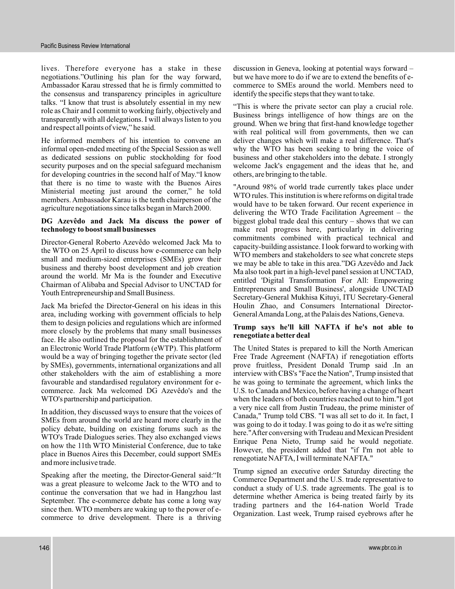lives. Therefore everyone has a stake in these negotiations."Outlining his plan for the way forward, Ambassador Karau stressed that he is firmly committed to the consensus and transparency principles in agriculture talks. "I know that trust is absolutely essential in my new role as Chair and I commit to working fairly, objectively and transparently with all delegations. I will always listen to you and respect all points of view," he said.

He informed members of his intention to convene an informal open-ended meeting of the Special Session as well as dedicated sessions on public stockholding for food security purposes and on the special safeguard mechanism for developing countries in the second half of May."I know that there is no time to waste with the Buenos Aires Ministerial meeting just around the corner," he told members. Ambassador Karau is the tenth chairperson of the agriculture negotiations since talks began in March 2000.

## **DG Azevêdo and Jack Ma discuss the power of technology to boost small businesses**

Director-General Roberto Azevêdo welcomed Jack Ma to the WTO on 25 April to discuss how e-commerce can help small and medium-sized enterprises (SMEs) grow their business and thereby boost development and job creation around the world. Mr Ma is the founder and Executive Chairman of Alibaba and Special Advisor to UNCTAD for Youth Entrepreneurship and Small Business.

Jack Ma briefed the Director-General on his ideas in this area, including working with government officials to help them to design policies and regulations which are informed more closely by the problems that many small businesses face. He also outlined the proposal for the establishment of an Electronic World Trade Platform (eWTP). This platform would be a way of bringing together the private sector (led by SMEs), governments, international organizations and all other stakeholders with the aim of establishing a more favourable and standardised regulatory environment for ecommerce. Jack Ma welcomed DG Azevêdo's and the WTO's partnership and participation.

In addition, they discussed ways to ensure that the voices of SMEs from around the world are heard more clearly in the policy debate, building on existing forums such as the WTO's Trade Dialogues series. They also exchanged views on how the 11th WTO Ministerial Conference, due to take place in Buenos Aires this December, could support SMEs and more inclusive trade.

Speaking after the meeting, the Director-General said:"It was a great pleasure to welcome Jack to the WTO and to continue the conversation that we had in Hangzhou last September. The e-commerce debate has come a long way since then. WTO members are waking up to the power of ecommerce to drive development. There is a thriving discussion in Geneva, looking at potential ways forward – but we have more to do if we are to extend the benefits of ecommerce to SMEs around the world. Members need to identify the specific steps that they want to take.

"This is where the private sector can play a crucial role. Business brings intelligence of how things are on the ground. When we bring that first-hand knowledge together with real political will from governments, then we can deliver changes which will make a real difference. That's why the WTO has been seeking to bring the voice of business and other stakeholders into the debate. I strongly welcome Jack's engagement and the ideas that he, and others, are bringing to the table.

"Around 98% of world trade currently takes place under WTO rules. This institution is where reforms on digital trade would have to be taken forward. Our recent experience in delivering the WTO Trade Facilitation Agreement – the biggest global trade deal this century – shows that we can make real progress here, particularly in delivering commitments combined with practical technical and capacity-building assistance. I look forward to working with WTO members and stakeholders to see what concrete steps we may be able to take in this area."DG Azevêdo and Jack Ma also took part in a high-level panel session at UNCTAD, entitled 'Digital Transformation For All: Empowering Entrepreneurs and Small Business', alongside UNCTAD Secretary-General Mukhisa Kituyi, ITU Secretary-General Houlin Zhao, and Consumers International Director-GeneralAmanda Long, at the Palais des Nations, Geneva.

### **Trump says he'll kill NAFTA if he's not able to renegotiate a better deal**

The United States is prepared to kill the North American Free Trade Agreement (NAFTA) if renegotiation efforts prove fruitless, President Donald Trump said .In an interview with CBS's "Face the Nation", Trump insisted that he was going to terminate the agreement, which links the U.S. to Canada and Mexico, before having a change of heart when the leaders of both countries reached out to him."I got a very nice call from Justin Trudeau, the prime minister of Canada," Trump told CBS. "I was all set to do it. In fact, I was going to do it today. I was going to do it as we're sitting here."After conversing with Trudeau and Mexican President Enrique Pena Nieto, Trump said he would negotiate. However, the president added that "if I'm not able to renegotiate NAFTA, I will terminate NAFTA."

Trump signed an executive order Saturday directing the Commerce Department and the U.S. trade representative to conduct a study of U.S. trade agreements. The goal is to determine whether America is being treated fairly by its trading partners and the 164-nation World Trade Organization. Last week, Trump raised eyebrows after he